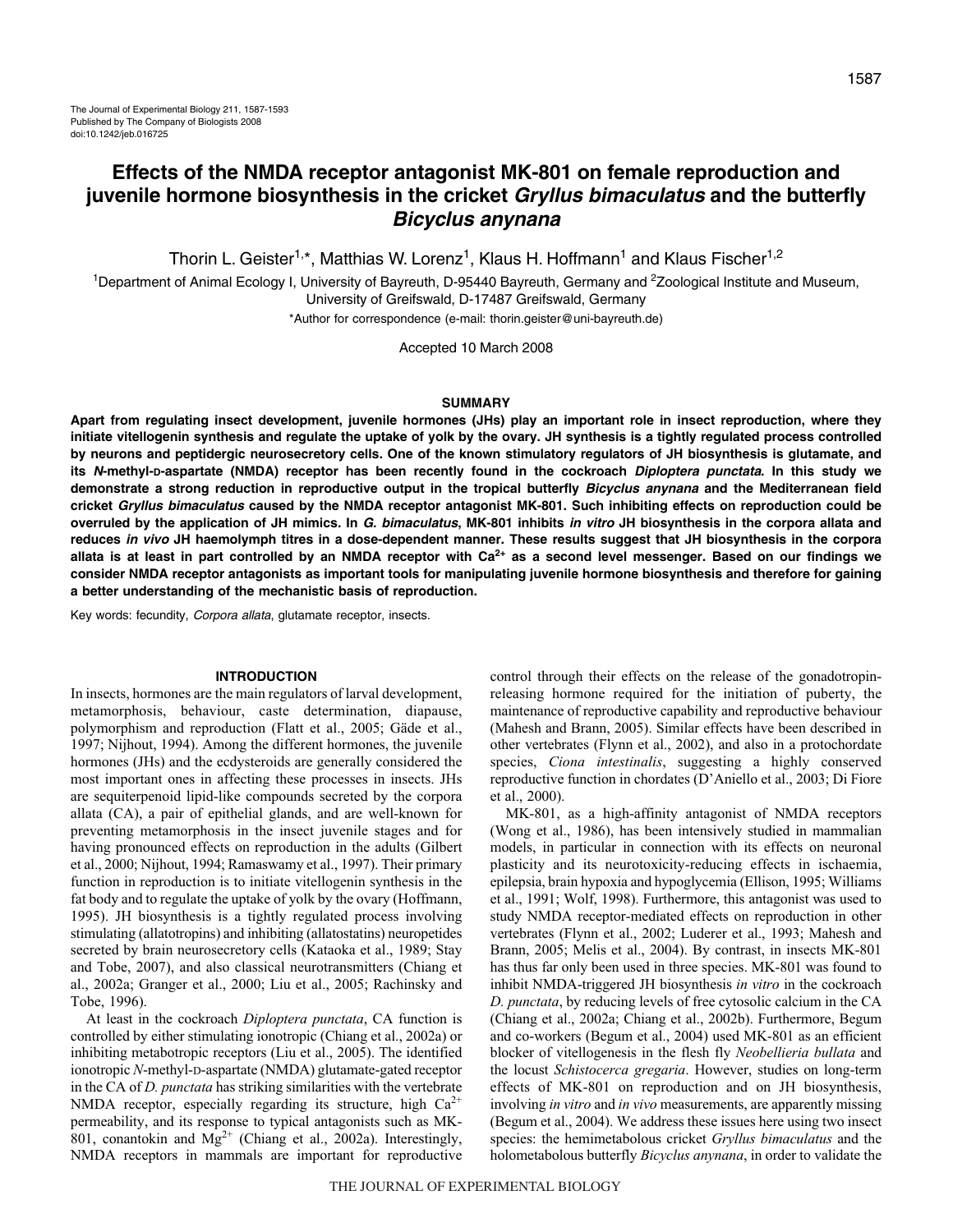Thorin L. Geister<sup>1,\*</sup>, Matthias W. Lorenz<sup>1</sup>, Klaus H. Hoffmann<sup>1</sup> and Klaus Fischer<sup>1,2</sup>

<sup>1</sup>Department of Animal Ecology I, University of Bayreuth, D-95440 Bayreuth, Germany and <sup>2</sup>Zoological Institute and Museum, University of Greifswald, D-17487 Greifswald, Germany

\*Author for correspondence (e-mail: thorin.geister@uni-bayreuth.de)

Accepted 10 March 2008

### **SUMMARY**

**Apart from regulating insect development, juvenile hormones (JHs) play an important role in insect reproduction, where they initiate vitellogenin synthesis and regulate the uptake of yolk by the ovary. JH synthesis is a tightly regulated process controlled by neurons and peptidergic neurosecretory cells. One of the known stimulatory regulators of JH biosynthesis is glutamate, and its N-methyl-D-aspartate (NMDA) receptor has been recently found in the cockroach Diploptera punctata. In this study we demonstrate a strong reduction in reproductive output in the tropical butterfly Bicyclus anynana and the Mediterranean field cricket Gryllus bimaculatus caused by the NMDA receptor antagonist MK-801. Such inhibiting effects on reproduction could be overruled by the application of JH mimics. In G. bimaculatus, MK-801 inhibits in vitro JH biosynthesis in the corpora allata and reduces in vivo JH haemolymph titres in a dose-dependent manner. These results suggest that JH biosynthesis in the corpora allata is at least in part controlled by an NMDA receptor with Ca2+ as a second level messenger. Based on our findings we consider NMDA receptor antagonists as important tools for manipulating juvenile hormone biosynthesis and therefore for gaining a better understanding of the mechanistic basis of reproduction.**

Key words: fecundity, Corpora allata, glutamate receptor, insects.

### **INTRODUCTION**

In insects, hormones are the main regulators of larval development, metamorphosis, behaviour, caste determination, diapause, polymorphism and reproduction (Flatt et al., 2005; Gäde et al., 1997; Nijhout, 1994). Among the different hormones, the juvenile hormones (JHs) and the ecdysteroids are generally considered the most important ones in affecting these processes in insects. JHs are sequiterpenoid lipid-like compounds secreted by the corpora allata (CA), a pair of epithelial glands, and are well-known for preventing metamorphosis in the insect juvenile stages and for having pronounced effects on reproduction in the adults (Gilbert et al., 2000; Nijhout, 1994; Ramaswamy et al., 1997). Their primary function in reproduction is to initiate vitellogenin synthesis in the fat body and to regulate the uptake of yolk by the ovary (Hoffmann, 1995). JH biosynthesis is a tightly regulated process involving stimulating (allatotropins) and inhibiting (allatostatins) neuropetides secreted by brain neurosecretory cells (Kataoka et al., 1989; Stay and Tobe, 2007), and also classical neurotransmitters (Chiang et al., 2002a; Granger et al., 2000; Liu et al., 2005; Rachinsky and Tobe, 1996).

At least in the cockroach *Diploptera punctata*, CA function is controlled by either stimulating ionotropic (Chiang et al., 2002a) or inhibiting metabotropic receptors (Liu et al., 2005). The identified ionotropic *N*-methyl-D-aspartate (NMDA) glutamate-gated receptor in the CA of *D. punctata* has striking similarities with the vertebrate NMDA receptor, especially regarding its structure, high  $Ca^{2+}$ permeability, and its response to typical antagonists such as MK-801, conantokin and  $Mg^{2+}$  (Chiang et al., 2002a). Interestingly, NMDA receptors in mammals are important for reproductive control through their effects on the release of the gonadotropinreleasing hormone required for the initiation of puberty, the maintenance of reproductive capability and reproductive behaviour (Mahesh and Brann, 2005). Similar effects have been described in other vertebrates (Flynn et al., 2002), and also in a protochordate species, *Ciona intestinalis*, suggesting a highly conserved reproductive function in chordates (D'Aniello et al., 2003; Di Fiore et al., 2000).

MK-801, as a high-affinity antagonist of NMDA receptors (Wong et al., 1986), has been intensively studied in mammalian models, in particular in connection with its effects on neuronal plasticity and its neurotoxicity-reducing effects in ischaemia, epilepsia, brain hypoxia and hypoglycemia (Ellison, 1995; Williams et al., 1991; Wolf, 1998). Furthermore, this antagonist was used to study NMDA receptor-mediated effects on reproduction in other vertebrates (Flynn et al., 2002; Luderer et al., 1993; Mahesh and Brann, 2005; Melis et al., 2004). By contrast, in insects MK-801 has thus far only been used in three species. MK-801 was found to inhibit NMDA-triggered JH biosynthesis *in vitro* in the cockroach *D. punctata*, by reducing levels of free cytosolic calcium in the CA (Chiang et al., 2002a; Chiang et al., 2002b). Furthermore, Begum and co-workers (Begum et al., 2004) used MK-801 as an efficient blocker of vitellogenesis in the flesh fly *Neobellieria bullata* and the locust *Schistocerca gregaria*. However, studies on long-term effects of MK-801 on reproduction and on JH biosynthesis, involving *in vitro* and *in vivo* measurements, are apparently missing (Begum et al., 2004). We address these issues here using two insect species: the hemimetabolous cricket *Gryllus bimaculatus* and the holometabolous butterfly *Bicyclus anynana*, in order to validate the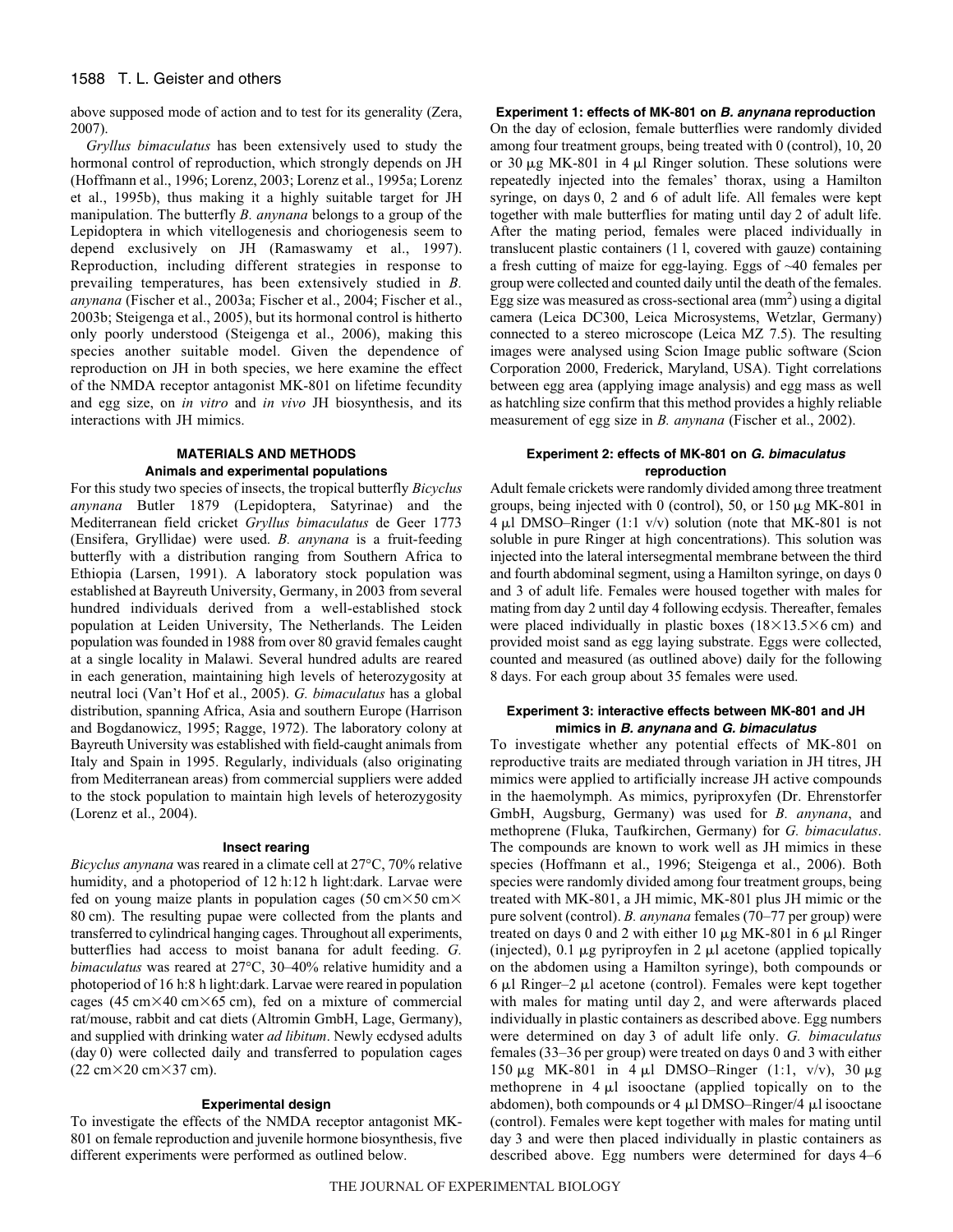# 1588 T. L. Geister and others

above supposed mode of action and to test for its generality (Zera, 2007).

*Gryllus bimaculatus* has been extensively used to study the hormonal control of reproduction, which strongly depends on JH (Hoffmann et al., 1996; Lorenz, 2003; Lorenz et al., 1995a; Lorenz et al., 1995b), thus making it a highly suitable target for JH manipulation. The butterfly *B. anynana* belongs to a group of the Lepidoptera in which vitellogenesis and choriogenesis seem to depend exclusively on JH (Ramaswamy et al., 1997). Reproduction, including different strategies in response to prevailing temperatures, has been extensively studied in *B. anynana* (Fischer et al., 2003a; Fischer et al., 2004; Fischer et al., 2003b; Steigenga et al., 2005), but its hormonal control is hitherto only poorly understood (Steigenga et al., 2006), making this species another suitable model. Given the dependence of reproduction on JH in both species, we here examine the effect of the NMDA receptor antagonist MK-801 on lifetime fecundity and egg size, on *in vitro* and *in vivo* JH biosynthesis, and its interactions with JH mimics.

# **MATERIALS AND METHODS Animals and experimental populations**

For this study two species of insects, the tropical butterfly *Bicyclus anynana* Butler 1879 (Lepidoptera, Satyrinae) and the Mediterranean field cricket *Gryllus bimaculatus* de Geer 1773 (Ensifera, Gryllidae) were used. *B. anynana* is a fruit-feeding butterfly with a distribution ranging from Southern Africa to Ethiopia (Larsen, 1991). A laboratory stock population was established at Bayreuth University, Germany, in 2003 from several hundred individuals derived from a well-established stock population at Leiden University, The Netherlands. The Leiden population was founded in 1988 from over 80 gravid females caught at a single locality in Malawi. Several hundred adults are reared in each generation, maintaining high levels of heterozygosity at neutral loci (Van't Hof et al., 2005). *G. bimaculatus* has a global distribution, spanning Africa, Asia and southern Europe (Harrison and Bogdanowicz, 1995; Ragge, 1972). The laboratory colony at Bayreuth University was established with field-caught animals from Italy and Spain in 1995. Regularly, individuals (also originating from Mediterranean areas) from commercial suppliers were added to the stock population to maintain high levels of heterozygosity (Lorenz et al., 2004).

## **Insect rearing**

*Bicyclus anynana* was reared in a climate cell at 27°C, 70% relative humidity, and a photoperiod of 12 h:12 h light:dark. Larvae were fed on young maize plants in population cages (50 cm $\times$ 50 cm $\times$ 80 cm). The resulting pupae were collected from the plants and transferred to cylindrical hanging cages. Throughout all experiments, butterflies had access to moist banana for adult feeding. *G. bimaculatus* was reared at 27°C, 30–40% relative humidity and a photoperiod of 16 h:8 h light:dark. Larvae were reared in population cages (45 cm $\times$ 40 cm $\times$ 65 cm), fed on a mixture of commercial rat/mouse, rabbit and cat diets (Altromin GmbH, Lage, Germany), and supplied with drinking water *ad libitum*. Newly ecdysed adults (day·0) were collected daily and transferred to population cages  $(22 \text{ cm} \times 20 \text{ cm} \times 37 \text{ cm}).$ 

## **Experimental design**

To investigate the effects of the NMDA receptor antagonist MK-801 on female reproduction and juvenile hormone biosynthesis, five different experiments were performed as outlined below.

## **Experiment 1: effects of MK-801 on B. anynana reproduction**

On the day of eclosion, female butterflies were randomly divided among four treatment groups, being treated with 0 (control), 10, 20 or 30  $\mu$ g MK-801 in 4  $\mu$ l Ringer solution. These solutions were repeatedly injected into the females' thorax, using a Hamilton syringe, on days 0, 2 and 6 of adult life. All females were kept together with male butterflies for mating until day 2 of adult life. After the mating period, females were placed individually in translucent plastic containers (1 l, covered with gauze) containing a fresh cutting of maize for egg-laying. Eggs of ~40 females per group were collected and counted daily until the death of the females. Egg size was measured as cross-sectional area  $\text{(mm}^2)$  using a digital camera (Leica DC300, Leica Microsystems, Wetzlar, Germany) connected to a stereo microscope (Leica MZ 7.5). The resulting images were analysed using Scion Image public software (Scion Corporation 2000, Frederick, Maryland, USA). Tight correlations between egg area (applying image analysis) and egg mass as well as hatchling size confirm that this method provides a highly reliable measurement of egg size in *B. anynana* (Fischer et al., 2002).

# **Experiment 2: effects of MK-801 on G. bimaculatus reproduction**

Adult female crickets were randomly divided among three treatment groups, being injected with 0 (control), 50, or 150  $\mu$ g MK-801 in  $4 \mu l$  DMSO–Ringer (1:1 v/v) solution (note that MK-801 is not soluble in pure Ringer at high concentrations). This solution was injected into the lateral intersegmental membrane between the third and fourth abdominal segment, using a Hamilton syringe, on days 0 and 3 of adult life. Females were housed together with males for mating from day 2 until day 4 following ecdysis. Thereafter, females were placed individually in plastic boxes  $(18\times13.5\times6$  cm) and provided moist sand as egg laying substrate. Eggs were collected, counted and measured (as outlined above) daily for the following 8 days. For each group about 35 females were used.

## **Experiment 3: interactive effects between MK-801 and JH mimics in B. anynana and G. bimaculatus**

To investigate whether any potential effects of MK-801 on reproductive traits are mediated through variation in JH titres, JH mimics were applied to artificially increase JH active compounds in the haemolymph. As mimics, pyriproxyfen (Dr. Ehrenstorfer GmbH, Augsburg, Germany) was used for *B. anynana*, and methoprene (Fluka, Taufkirchen, Germany) for *G. bimaculatus*. The compounds are known to work well as JH mimics in these species (Hoffmann et al., 1996; Steigenga et al., 2006). Both species were randomly divided among four treatment groups, being treated with MK-801, a JH mimic, MK-801 plus JH mimic or the pure solvent (control). *B. anynana* females (70–77 per group) were treated on days 0 and 2 with either 10  $\mu$ g MK-801 in 6  $\mu$ l Ringer (injected), 0.1  $\mu$ g pyriproyfen in 2  $\mu$ l acetone (applied topically on the abdomen using a Hamilton syringe), both compounds or  $6 \mu l$  Ringer–2  $\mu l$  acetone (control). Females were kept together with males for mating until day 2, and were afterwards placed individually in plastic containers as described above. Egg numbers were determined on day·3 of adult life only. *G. bimaculatus* females (33–36 per group) were treated on days 0 and 3 with either 150 μg MK-801 in 4 μl DMSO–Ringer (1:1, v/v), 30 μg methoprene in  $4 \mu l$  isooctane (applied topically on to the abdomen), both compounds or  $4 \mu l$  DMSO–Ringer/4  $\mu l$  isooctane (control). Females were kept together with males for mating until day 3 and were then placed individually in plastic containers as described above. Egg numbers were determined for days 4–6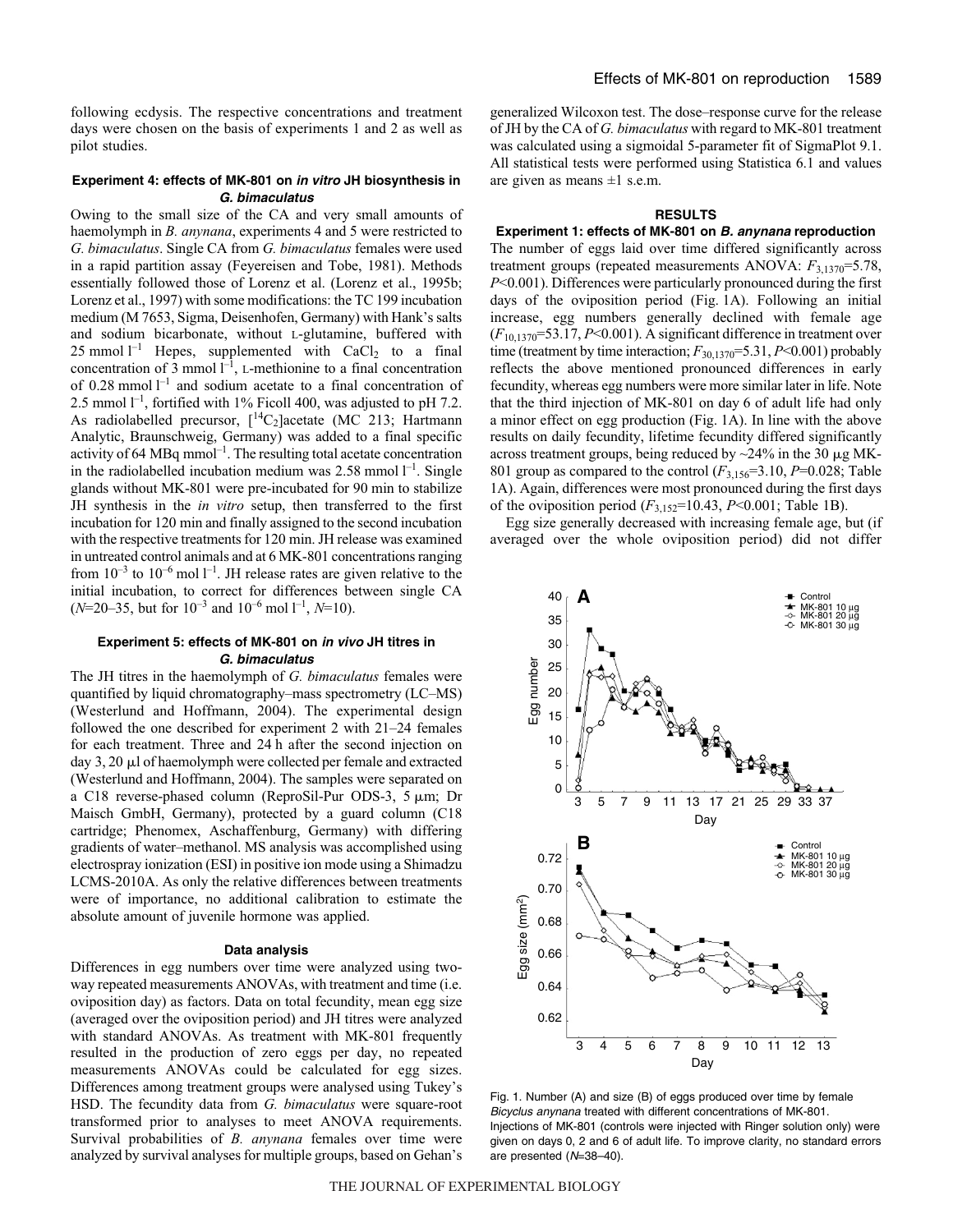following ecdysis. The respective concentrations and treatment days were chosen on the basis of experiments 1 and 2 as well as pilot studies.

## **Experiment 4: effects of MK-801 on in vitro JH biosynthesis in G. bimaculatus**

Owing to the small size of the CA and very small amounts of haemolymph in *B. anynana*, experiments 4 and 5 were restricted to *G. bimaculatus*. Single CA from *G. bimaculatus* females were used in a rapid partition assay (Feyereisen and Tobe, 1981). Methods essentially followed those of Lorenz et al. (Lorenz et al., 1995b; Lorenz et al., 1997) with some modifications: the TC 199 incubation medium (M 7653, Sigma, Deisenhofen, Germany) with Hank's salts and sodium bicarbonate, without L-glutamine, buffered with 25 mmol  $l^{-1}$  Hepes, supplemented with CaCl<sub>2</sub> to a final concentration of  $\bar{3}$  mmol  $\bar{l}^{-1}$ , L-methionine to a final concentration of 0.28 mmol  $l^{-1}$  and sodium acetate to a final concentration of 2.5 mmol  $l^{-1}$ , fortified with 1% Ficoll 400, was adjusted to pH 7.2. As radiolabelled precursor,  $[{}^{14}C_2]$ acetate (MC 213; Hartmann Analytic, Braunschweig, Germany) was added to a final specific activity of 64  $MBq$  mmol<sup>-1</sup>. The resulting total acetate concentration in the radiolabelled incubation medium was  $2.58$  mmol  $l^{-1}$ . Single glands without MK-801 were pre-incubated for 90 min to stabilize JH synthesis in the *in vitro* setup, then transferred to the first incubation for 120 min and finally assigned to the second incubation with the respective treatments for 120 min. JH release was examined in untreated control animals and at 6 MK-801 concentrations ranging from  $10^{-3}$  to  $10^{-6}$  mol  $1^{-1}$ . JH release rates are given relative to the initial incubation, to correct for differences between single CA  $(N=20-35$ , but for  $10^{-3}$  and  $10^{-6}$  mol  $1^{-1}$ ,  $N=10$ ).

## **Experiment 5: effects of MK-801 on in vivo JH titres in G. bimaculatus**

The JH titres in the haemolymph of *G. bimaculatus* females were quantified by liquid chromatography–mass spectrometry (LC–MS) (Westerlund and Hoffmann, 2004). The experimental design followed the one described for experiment 2 with 21–24 females for each treatment. Three and 24 h after the second injection on day 3, 20 µl of haemolymph were collected per female and extracted (Westerlund and Hoffmann, 2004). The samples were separated on a C18 reverse-phased column (ReproSil-Pur ODS-3,  $5 \mu m$ ; Dr Maisch GmbH, Germany), protected by a guard column (C18 cartridge; Phenomex, Aschaffenburg, Germany) with differing gradients of water–methanol. MS analysis was accomplished using electrospray ionization (ESI) in positive ion mode using a Shimadzu LCMS-2010A. As only the relative differences between treatments were of importance, no additional calibration to estimate the absolute amount of juvenile hormone was applied.

#### **Data analysis**

Differences in egg numbers over time were analyzed using twoway repeated measurements ANOVAs, with treatment and time (i.e. oviposition day) as factors. Data on total fecundity, mean egg size (averaged over the oviposition period) and JH titres were analyzed with standard ANOVAs. As treatment with MK-801 frequently resulted in the production of zero eggs per day, no repeated measurements ANOVAs could be calculated for egg sizes. Differences among treatment groups were analysed using Tukey's HSD. The fecundity data from *G. bimaculatus* were square-root transformed prior to analyses to meet ANOVA requirements. Survival probabilities of *B. anynana* females over time were analyzed by survival analyses for multiple groups, based on Gehan's generalized Wilcoxon test. The dose–response curve for the release of JH by the CA of *G. bimaculatus* with regard to MK-801 treatment was calculated using a sigmoidal 5-parameter fit of SigmaPlot 9.1. All statistical tests were performed using Statistica 6.1 and values are given as means  $\pm 1$  s.e.m.

# **RESULTS**

## **Experiment 1: effects of MK-801 on B. anynana reproduction**

The number of eggs laid over time differed significantly across treatment groups (repeated measurements ANOVA:  $F_{3,1370}$ =5.78, *P*<0.001). Differences were particularly pronounced during the first days of the oviposition period (Fig. 1A). Following an initial increase, egg numbers generally declined with female age (*F*10,1370=53.17, *P*<0.001). A significant difference in treatment over time (treatment by time interaction;  $F_{30,1370} = 5.31$ , *P*<0.001) probably reflects the above mentioned pronounced differences in early fecundity, whereas egg numbers were more similar later in life. Note that the third injection of MK-801 on day 6 of adult life had only a minor effect on egg production (Fig. 1A). In line with the above results on daily fecundity, lifetime fecundity differed significantly across treatment groups, being reduced by  $\sim$ 24% in the 30 µg MK-801 group as compared to the control  $(F_{3,156}=3.10, P=0.028;$  Table 1A). Again, differences were most pronounced during the first days of the oviposition period (*F*3,152=10.43, *P*<0.001; Table 1B).

Egg size generally decreased with increasing female age, but (if averaged over the whole oviposition period) did not differ



Fig. 1. Number (A) and size (B) of eggs produced over time by female Bicyclus anynana treated with different concentrations of MK-801. Injections of MK-801 (controls were injected with Ringer solution only) were given on days 0, 2 and 6 of adult life. To improve clarity, no standard errors are presented (N=38–40).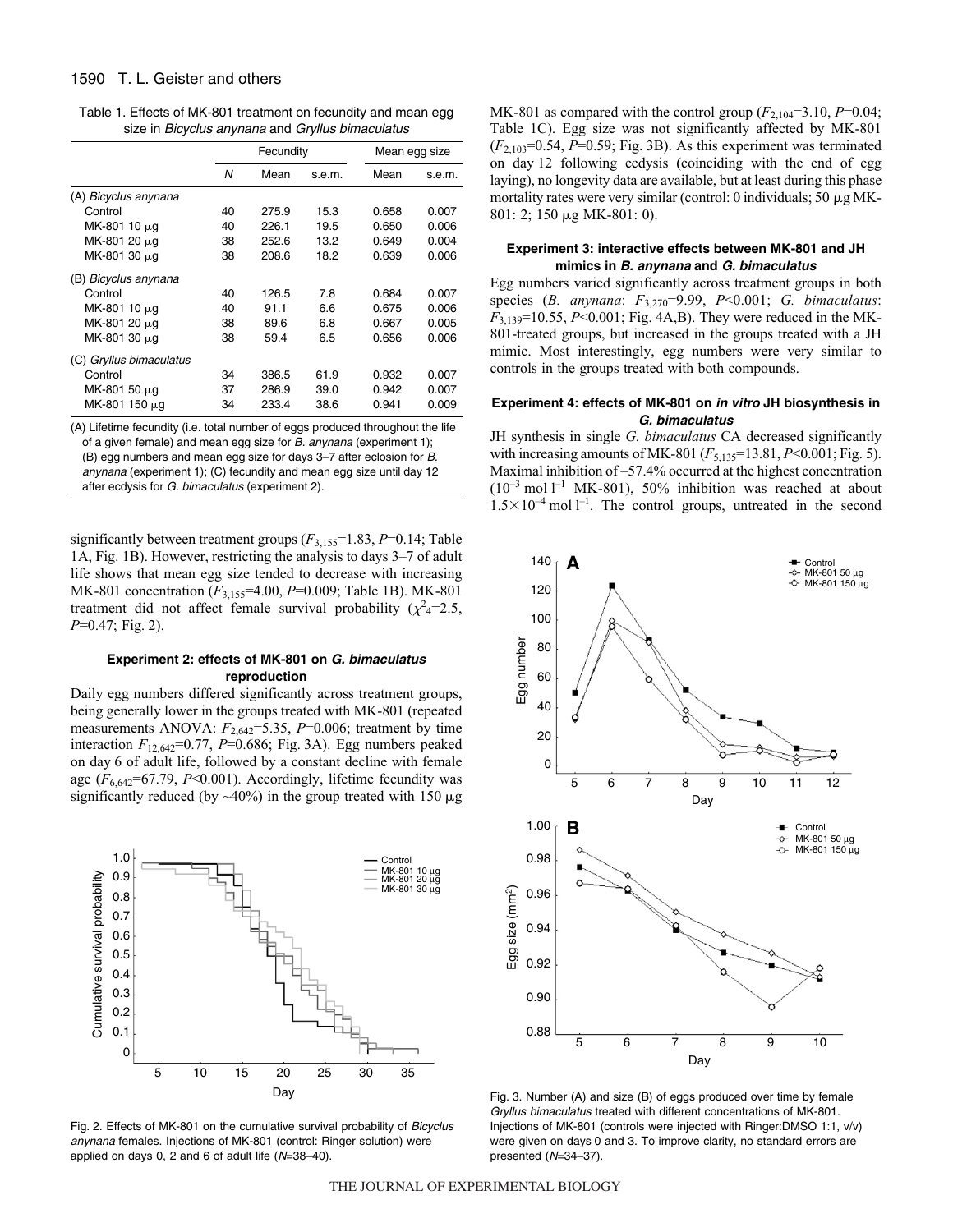| Table 1. Effects of MK-801 treatment on fecundity and mean egg |  |  |  |
|----------------------------------------------------------------|--|--|--|
| size in Bicyclus anynana and Gryllus bimaculatus               |  |  |  |

|                         |    | Fecundity |        |       | Mean egg size |  |
|-------------------------|----|-----------|--------|-------|---------------|--|
|                         | N  | Mean      | s.e.m. | Mean  | s.e.m.        |  |
| (A) Bicyclus anynana    |    |           |        |       |               |  |
| Control                 | 40 | 275.9     | 15.3   | 0.658 | 0.007         |  |
| MK-801 10 µg            | 40 | 226.1     | 19.5   | 0.650 | 0.006         |  |
| MK-801 20 μg            | 38 | 252.6     | 13.2   | 0.649 | 0.004         |  |
| MK-801 30 μg            | 38 | 208.6     | 18.2   | 0.639 | 0.006         |  |
| (B) Bicyclus anynana    |    |           |        |       |               |  |
| Control                 | 40 | 126.5     | 7.8    | 0.684 | 0.007         |  |
| MK-801 10 $\mu$ g       | 40 | 91.1      | 6.6    | 0.675 | 0.006         |  |
| MK-801 20 µg            | 38 | 89.6      | 6.8    | 0.667 | 0.005         |  |
| MK-801 30 µg            | 38 | 59.4      | 6.5    | 0.656 | 0.006         |  |
| (C) Gryllus bimaculatus |    |           |        |       |               |  |
| Control                 | 34 | 386.5     | 61.9   | 0.932 | 0.007         |  |
| MK-801 50 μg            | 37 | 286.9     | 39.0   | 0.942 | 0.007         |  |
| MK-801 150 μg           | 34 | 233.4     | 38.6   | 0.941 | 0.009         |  |

(A) Lifetime fecundity (i.e. total number of eggs produced throughout the life of a given female) and mean egg size for  $B$ . anynana (experiment 1); (B) egg numbers and mean egg size for days 3–7 after eclosion for B. anynana (experiment 1); (C) fecundity and mean egg size until day 12 after ecdysis for G. bimaculatus (experiment 2).

significantly between treatment groups (*F*3,155=1.83, *P*=0.14; Table 1A, Fig. 1B). However, restricting the analysis to days 3–7 of adult life shows that mean egg size tended to decrease with increasing MK-801 concentration (*F*3,155=4.00, *P*=0.009; Table 1B). MK-801 treatment did not affect female survival probability  $(\chi^2_{4} = 2.5,$ *P*=0.47; Fig. 2).

## **Experiment 2: effects of MK-801 on G. bimaculatus reproduction**

Daily egg numbers differed significantly across treatment groups, being generally lower in the groups treated with MK-801 (repeated measurements ANOVA:  $F_{2,642}$ =5.35,  $P$ =0.006; treatment by time interaction  $F_{12,642}$ =0.77, *P*=0.686; Fig. 3A). Egg numbers peaked on day·6 of adult life, followed by a constant decline with female age  $(F_{6.642} = 67.79, P < 0.001)$ . Accordingly, lifetime fecundity was significantly reduced (by  $\sim$ 40%) in the group treated with 150  $\mu$ g



Fig. 2. Effects of MK-801 on the cumulative survival probability of Bicyclus anynana females. Injections of MK-801 (control: Ringer solution) were applied on days 0, 2 and 6 of adult life (N=38–40).

MK-801 as compared with the control group  $(F_{2,104}=3.10, P=0.04;$ Table 1C). Egg size was not significantly affected by MK-801  $(F_{2,103}=0.54, P=0.59;$  Fig. 3B). As this experiment was terminated on day·12 following ecdysis (coinciding with the end of egg laying), no longevity data are available, but at least during this phase mortality rates were very similar (control: 0 individuals; 50  $\mu$ g MK-801: 2; 150 µg MK-801: 0).

## **Experiment 3: interactive effects between MK-801 and JH mimics in B. anynana and G. bimaculatus**

Egg numbers varied significantly across treatment groups in both species (*B. anynana*: *F*3,270=9.99, *P*<0.001; *G. bimaculatus*:  $F_{3,139}$ =10.55, *P*<0.001; Fig. 4A,B). They were reduced in the MK-801-treated groups, but increased in the groups treated with a JH mimic. Most interestingly, egg numbers were very similar to controls in the groups treated with both compounds.

## **Experiment 4: effects of MK-801 on in vitro JH biosynthesis in G. bimaculatus**

JH synthesis in single *G. bimaculatus* CA decreased significantly with increasing amounts of MK-801 ( $F_{5,135}$ =13.81,  $P$ <0.001; Fig. 5). Maximal inhibition of –57.4% occurred at the highest concentration  $(10^{-3} \text{ mol } l^{-1} \text{ MK-801})$ , 50% inhibition was reached at about  $1.5 \times 10^{-4}$  mol  $l^{-1}$ . The control groups, untreated in the second



Fig. 3. Number (A) and size (B) of eggs produced over time by female Gryllus bimaculatus treated with different concentrations of MK-801. Injections of MK-801 (controls were injected with Ringer:DMSO 1:1, v/v) were given on days 0 and 3. To improve clarity, no standard errors are presented (N=34–37).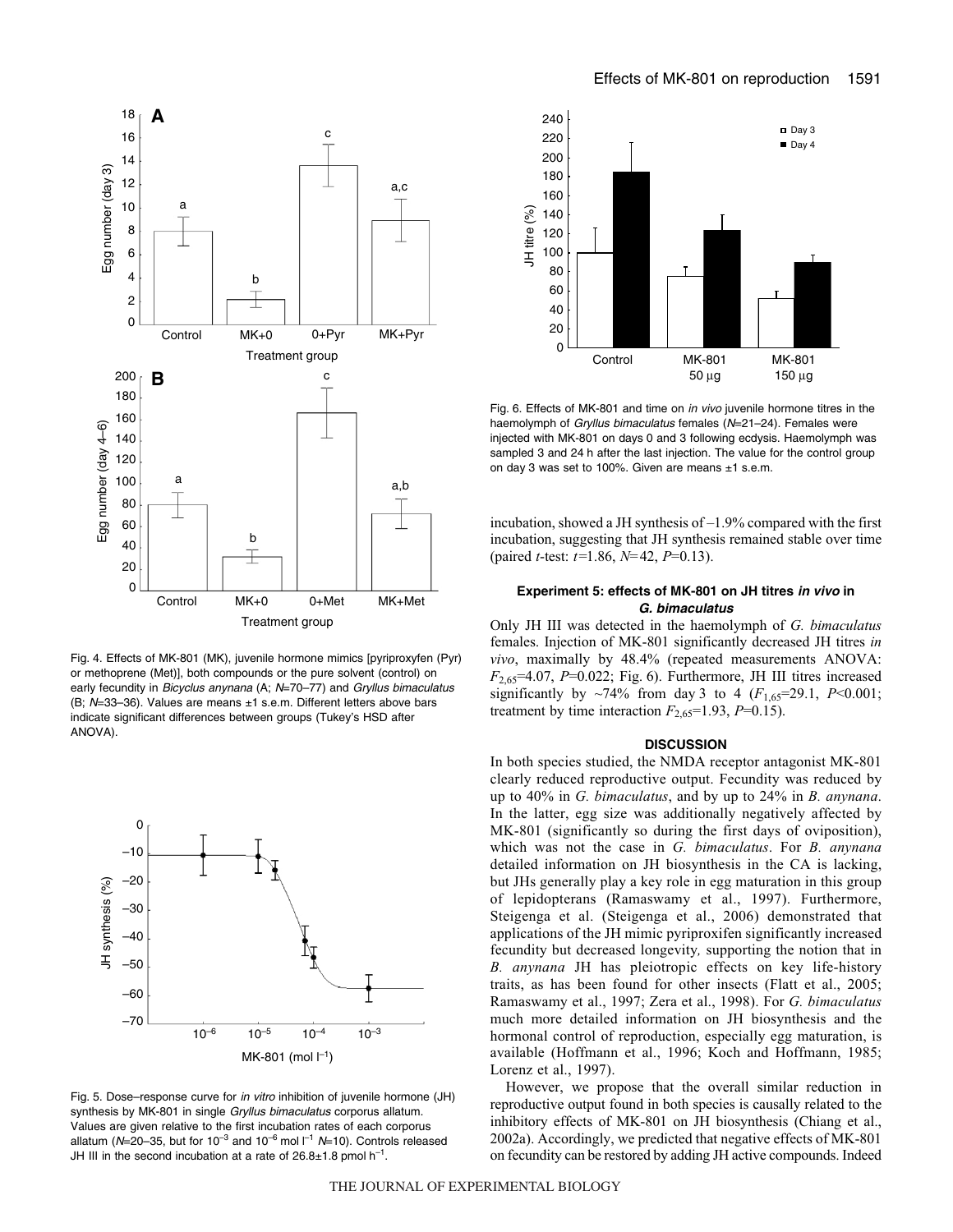

Fig. 4. Effects of MK-801 (MK), juvenile hormone mimics [pyriproxyfen (Pyr) or methoprene (Met)], both compounds or the pure solvent (control) on early fecundity in Bicyclus anynana (A; N=70-77) and Gryllus bimaculatus (B;  $N=33-36$ ). Values are means  $\pm 1$  s.e.m. Different letters above bars indicate significant differences between groups (Tukey's HSD after ANOVA).



Fig. 5. Dose–response curve for in vitro inhibition of juvenile hormone (JH) synthesis by MK-801 in single Gryllus bimaculatus corporus allatum. Values are given relative to the first incubation rates of each corporus allatum (N=20-35, but for 10<sup>-3</sup> and 10<sup>-6</sup> mol  $I^{-1}$  N=10). Controls released JH III in the second incubation at a rate of  $26.8\pm1.8$  pmol h<sup>-1</sup>.



Fig. 6. Effects of MK-801 and time on in vivo juvenile hormone titres in the haemolymph of Gryllus bimaculatus females (N=21-24). Females were injected with MK-801 on days 0 and 3 following ecdysis. Haemolymph was sampled 3 and 24 h after the last injection. The value for the control group on day 3 was set to 100%. Given are means  $\pm 1$  s.e.m.

incubation, showed a JH synthesis of –1.9% compared with the first incubation, suggesting that JH synthesis remained stable over time (paired *t*-test: *t=*1.86, *N=*42, *P*=0.13).

## **Experiment 5: effects of MK-801 on JH titres in vivo in G. bimaculatus**

Only JH III was detected in the haemolymph of *G. bimaculatus* females. Injection of MK-801 significantly decreased JH titres *in vivo*, maximally by 48.4% (repeated measurements ANOVA:  $F_{2.65}$ =4.07, *P*=0.022; Fig. 6). Furthermore, JH III titres increased significantly by  $\sim$ 74% from day 3 to 4 ( $F_{1,65}=29.1$ ,  $P<0.001$ ; treatment by time interaction  $F_{2.65}$ =1.93, *P*=0.15).

### **DISCUSSION**

In both species studied, the NMDA receptor antagonist MK-801 clearly reduced reproductive output. Fecundity was reduced by up to 40% in *G. bimaculatus*, and by up to 24% in *B. anynana*. In the latter, egg size was additionally negatively affected by MK-801 (significantly so during the first days of oviposition), which was not the case in *G. bimaculatus*. For *B. anynana* detailed information on JH biosynthesis in the CA is lacking, but JHs generally play a key role in egg maturation in this group of lepidopterans (Ramaswamy et al., 1997). Furthermore, Steigenga et al. (Steigenga et al., 2006) demonstrated that applications of the JH mimic pyriproxifen significantly increased fecundity but decreased longevity*,* supporting the notion that in *B. anynana* JH has pleiotropic effects on key life-history traits, as has been found for other insects (Flatt et al., 2005; Ramaswamy et al., 1997; Zera et al., 1998). For *G. bimaculatus* much more detailed information on JH biosynthesis and the hormonal control of reproduction, especially egg maturation, is available (Hoffmann et al., 1996; Koch and Hoffmann, 1985; Lorenz et al., 1997).

However, we propose that the overall similar reduction in reproductive output found in both species is causally related to the inhibitory effects of MK-801 on JH biosynthesis (Chiang et al., 2002a). Accordingly, we predicted that negative effects of MK-801 on fecundity can be restored by adding JH active compounds. Indeed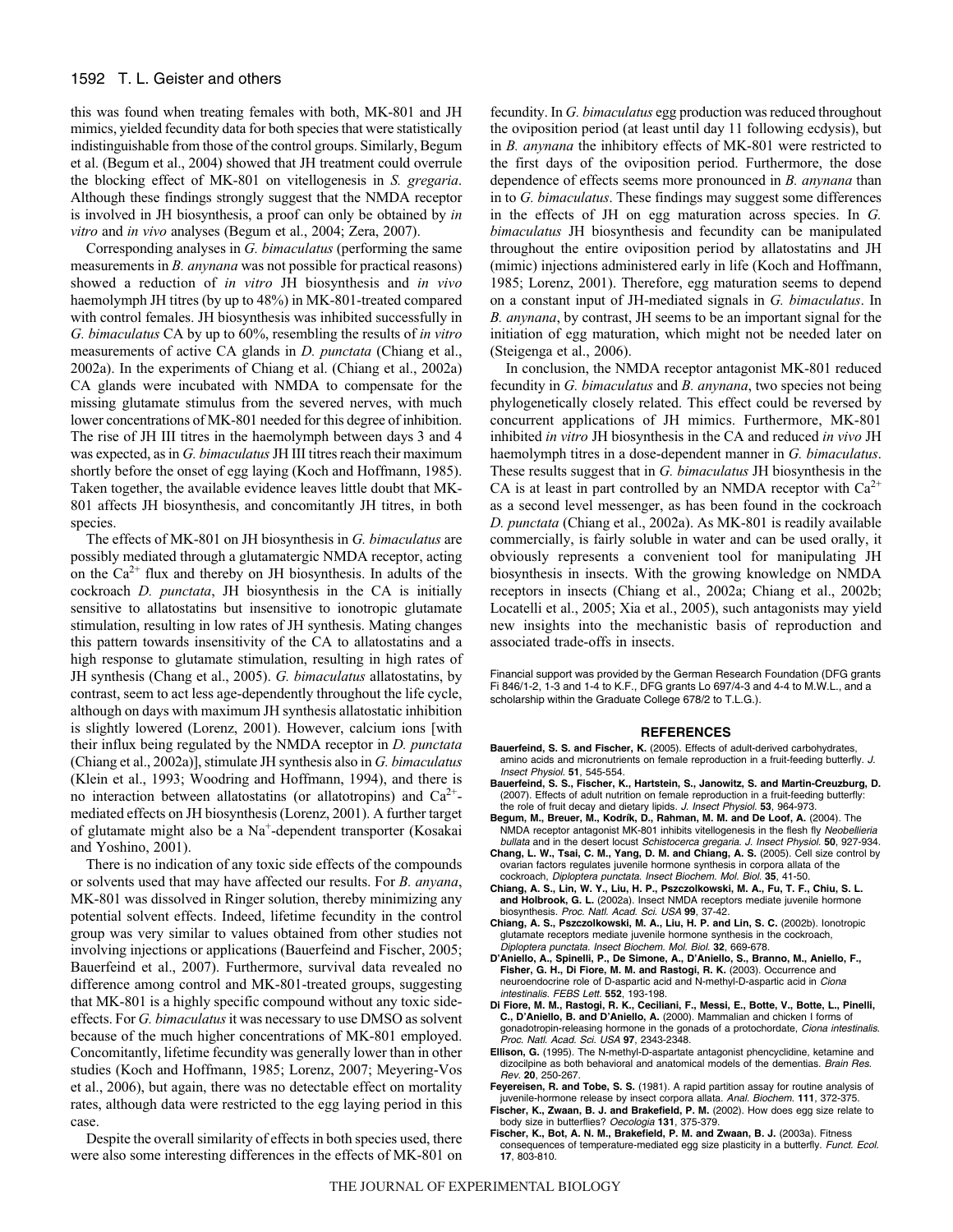## 1592 T. L. Geister and others

this was found when treating females with both, MK-801 and JH mimics, yielded fecundity data for both species that were statistically indistinguishable from those of the control groups. Similarly, Begum et al. (Begum et al., 2004) showed that JH treatment could overrule the blocking effect of MK-801 on vitellogenesis in *S. gregaria*. Although these findings strongly suggest that the NMDA receptor is involved in JH biosynthesis, a proof can only be obtained by *in vitro* and *in vivo* analyses (Begum et al., 2004; Zera, 2007).

Corresponding analyses in *G. bimaculatus* (performing the same measurements in *B. anynana* was not possible for practical reasons) showed a reduction of *in vitro* JH biosynthesis and *in vivo* haemolymph JH titres (by up to 48%) in MK-801-treated compared with control females. JH biosynthesis was inhibited successfully in *G. bimaculatus* CA by up to 60%, resembling the results of *in vitro* measurements of active CA glands in *D. punctata* (Chiang et al., 2002a). In the experiments of Chiang et al. (Chiang et al., 2002a) CA glands were incubated with NMDA to compensate for the missing glutamate stimulus from the severed nerves, with much lower concentrations of MK-801 needed for this degree of inhibition. The rise of JH III titres in the haemolymph between days 3 and 4 was expected, as in *G. bimaculatus*JH III titres reach their maximum shortly before the onset of egg laying (Koch and Hoffmann, 1985). Taken together, the available evidence leaves little doubt that MK-801 affects JH biosynthesis, and concomitantly JH titres, in both species.

The effects of MK-801 on JH biosynthesis in *G. bimaculatus* are possibly mediated through a glutamatergic NMDA receptor, acting on the  $Ca^{2+}$  flux and thereby on JH biosynthesis. In adults of the cockroach *D. punctata*, JH biosynthesis in the CA is initially sensitive to allatostatins but insensitive to ionotropic glutamate stimulation, resulting in low rates of JH synthesis. Mating changes this pattern towards insensitivity of the CA to allatostatins and a high response to glutamate stimulation, resulting in high rates of JH synthesis (Chang et al., 2005). *G. bimaculatus* allatostatins, by contrast, seem to act less age-dependently throughout the life cycle, although on days with maximum JH synthesis allatostatic inhibition is slightly lowered (Lorenz, 2001). However, calcium ions [with their influx being regulated by the NMDA receptor in *D. punctata* (Chiang et al., 2002a)], stimulate JH synthesis also in *G. bimaculatus* (Klein et al., 1993; Woodring and Hoffmann, 1994), and there is no interaction between allatostatins (or allatotropins) and  $Ca^{2+}$ mediated effects on JH biosynthesis (Lorenz, 2001). A further target of glutamate might also be a Na+-dependent transporter (Kosakai and Yoshino, 2001).

There is no indication of any toxic side effects of the compounds or solvents used that may have affected our results. For *B. anyana*, MK-801 was dissolved in Ringer solution, thereby minimizing any potential solvent effects. Indeed, lifetime fecundity in the control group was very similar to values obtained from other studies not involving injections or applications (Bauerfeind and Fischer, 2005; Bauerfeind et al., 2007). Furthermore, survival data revealed no difference among control and MK-801-treated groups, suggesting that MK-801 is a highly specific compound without any toxic sideeffects. For *G. bimaculatus*it was necessary to use DMSO as solvent because of the much higher concentrations of MK-801 employed. Concomitantly, lifetime fecundity was generally lower than in other studies (Koch and Hoffmann, 1985; Lorenz, 2007; Meyering-Vos et al., 2006), but again, there was no detectable effect on mortality rates, although data were restricted to the egg laying period in this case.

Despite the overall similarity of effects in both species used, there were also some interesting differences in the effects of MK-801 on fecundity. In *G. bimaculatus* egg production was reduced throughout the oviposition period (at least until day 11 following ecdysis), but in *B. anynana* the inhibitory effects of MK-801 were restricted to the first days of the oviposition period. Furthermore, the dose dependence of effects seems more pronounced in *B. anynana* than in to *G. bimaculatus*. These findings may suggest some differences in the effects of JH on egg maturation across species. In *G. bimaculatus* JH biosynthesis and fecundity can be manipulated throughout the entire oviposition period by allatostatins and JH (mimic) injections administered early in life (Koch and Hoffmann, 1985; Lorenz, 2001). Therefore, egg maturation seems to depend on a constant input of JH-mediated signals in *G. bimaculatus*. In *B. anynana*, by contrast, JH seems to be an important signal for the initiation of egg maturation, which might not be needed later on (Steigenga et al., 2006).

In conclusion, the NMDA receptor antagonist MK-801 reduced fecundity in *G. bimaculatus* and *B. anynana*, two species not being phylogenetically closely related. This effect could be reversed by concurrent applications of JH mimics. Furthermore, MK-801 inhibited *in vitro* JH biosynthesis in the CA and reduced *in vivo* JH haemolymph titres in a dose-dependent manner in *G. bimaculatus*. These results suggest that in *G. bimaculatus* JH biosynthesis in the CA is at least in part controlled by an NMDA receptor with  $Ca^{2+}$ as a second level messenger, as has been found in the cockroach *D. punctata* (Chiang et al., 2002a). As MK-801 is readily available commercially, is fairly soluble in water and can be used orally, it obviously represents a convenient tool for manipulating JH biosynthesis in insects. With the growing knowledge on NMDA receptors in insects (Chiang et al., 2002a; Chiang et al., 2002b; Locatelli et al., 2005; Xia et al., 2005), such antagonists may yield new insights into the mechanistic basis of reproduction and associated trade-offs in insects.

Financial support was provided by the German Research Foundation (DFG grants Fi 846/1-2, 1-3 and 1-4 to K.F., DFG grants Lo 697/4-3 and 4-4 to M.W.L., and a scholarship within the Graduate College 678/2 to T.L.G.).

#### **REFERENCES**

- **Bauerfeind, S. S. and Fischer, K.** (2005). Effects of adult-derived carbohydrates, amino acids and micronutrients on female reproduction in a fruit-feeding butterfly. J. Insect Physiol. **51**, 545-554.
- **Bauerfeind, S. S., Fischer, K., Hartstein, S., Janowitz, S. and Martin-Creuzburg, D.** (2007). Effects of adult nutrition on female reproduction in a fruit-feeding butterfly: the role of fruit decay and dietary lipids. J. Insect Physiol. **53**, 964-973.
- **Begum, M., Breuer, M., Kodrík, D., Rahman, M. M. and De Loof, A.** (2004). The NMDA receptor antagonist MK-801 inhibits vitellogenesis in the flesh fly Neobellieria bullata and in the desert locust Schistocerca gregaria. J. Insect Physiol. **50**, 927-934.
- **Chang, L. W., Tsai, C. M., Yang, D. M. and Chiang, A. S.** (2005). Cell size control by ovarian factors regulates juvenile hormone synthesis in corpora allata of the
- cockroach, Diploptera punctata. Insect Biochem. Mol. Biol. **35**, 41-50. **Chiang, A. S., Lin, W. Y., Liu, H. P., Pszczolkowski, M. A., Fu, T. F., Chiu, S. L. and Holbrook, G. L.** (2002a). Insect NMDA receptors mediate juvenile hormone biosynthesis. Proc. Natl. Acad. Sci. USA **99**, 37-42.
- **Chiang, A. S., Pszczolkowski, M. A., Liu, H. P. and Lin, S. C.** (2002b). Ionotropic glutamate receptors mediate juvenile hormone synthesis in the cockroach, Diploptera punctata. Insect Biochem. Mol. Biol. **32**, 669-678.
- **D'Aniello, A., Spinelli, P., De Simone, A., D'Aniello, S., Branno, M., Aniello, F., Fisher, G. H., Di Fiore, M. M. and Rastogi, R. K.** (2003). Occurrence and neuroendocrine role of D-aspartic acid and N-methyl-D-aspartic acid in Ciona intestinalis. FEBS Lett. **552**, 193-198.
- **Di Fiore, M. M., Rastogi, R. K., Ceciliani, F., Messi, E., Botte, V., Botte, L., Pinelli, C., D'Aniello, B. and D'Aniello, A.** (2000). Mammalian and chicken I forms of gonadotropin-releasing hormone in the gonads of a protochordate, Ciona intestinalis. Proc. Natl. Acad. Sci. USA **97**, 2343-2348.
- **Ellison, G.** (1995). The N-methyl-D-aspartate antagonist phencyclidine, ketamine and dizocilpine as both behavioral and anatomical models of the dementias. Brain Res. Rev. **20**, 250-267.
- **Feyereisen, R. and Tobe, S. S.** (1981). A rapid partition assay for routine analysis of juvenile-hormone release by insect corpora allata. Anal. Biochem. **111**, 372-375.
- **Fischer, K., Zwaan, B. J. and Brakefield, P. M.** (2002). How does egg size relate to body size in butterflies? Oecologia **131**, 375-379.
- **Fischer, K., Bot, A. N. M., Brakefield, P. M. and Zwaan, B. J.** (2003a). Fitness consequences of temperature-mediated egg size plasticity in a butterfly. Funct. Ecol. **17**, 803-810.